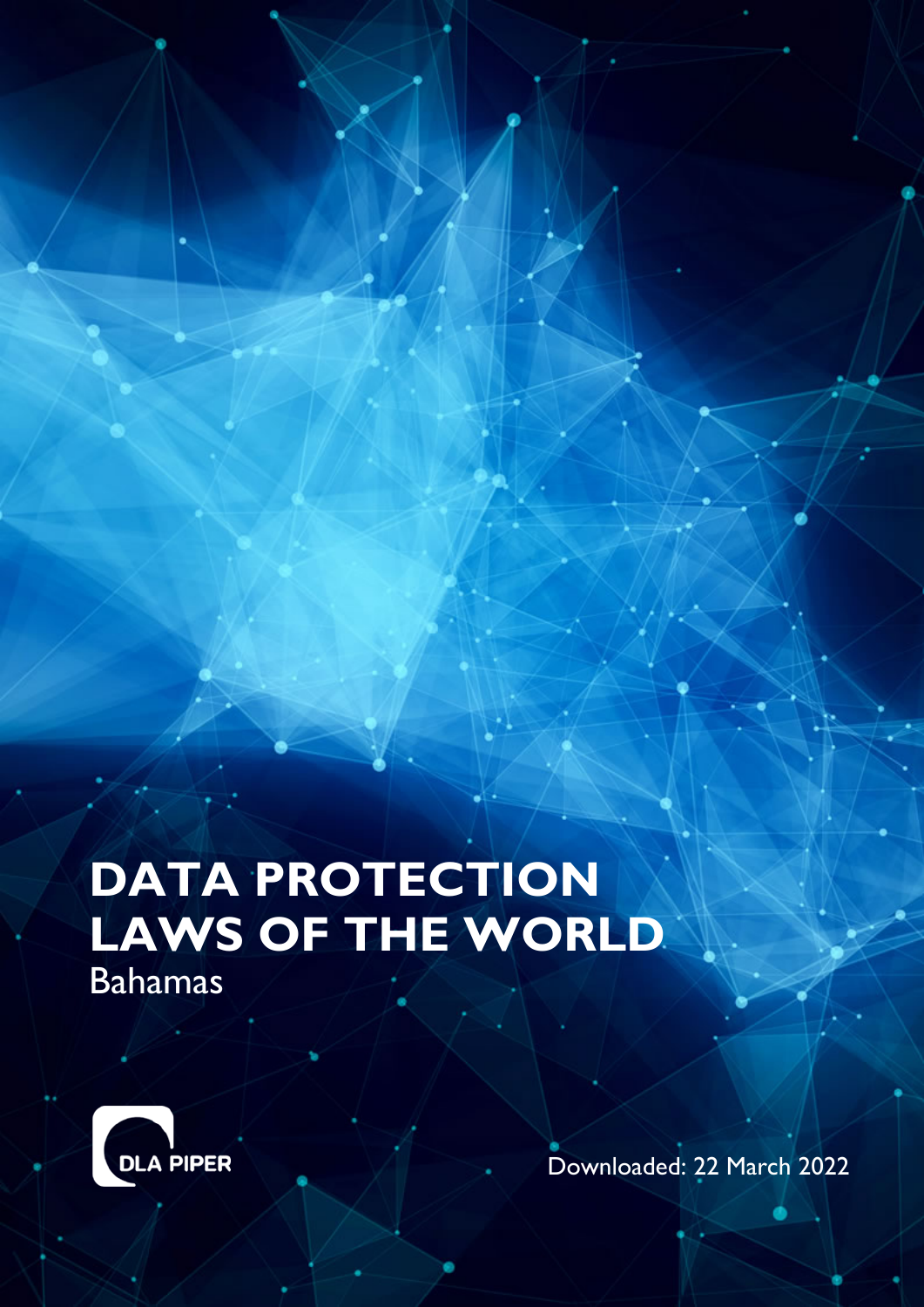# **DATA PROTECTION LAWS OF THE WORLD** Bahamas



Downloaded: 22 March 2022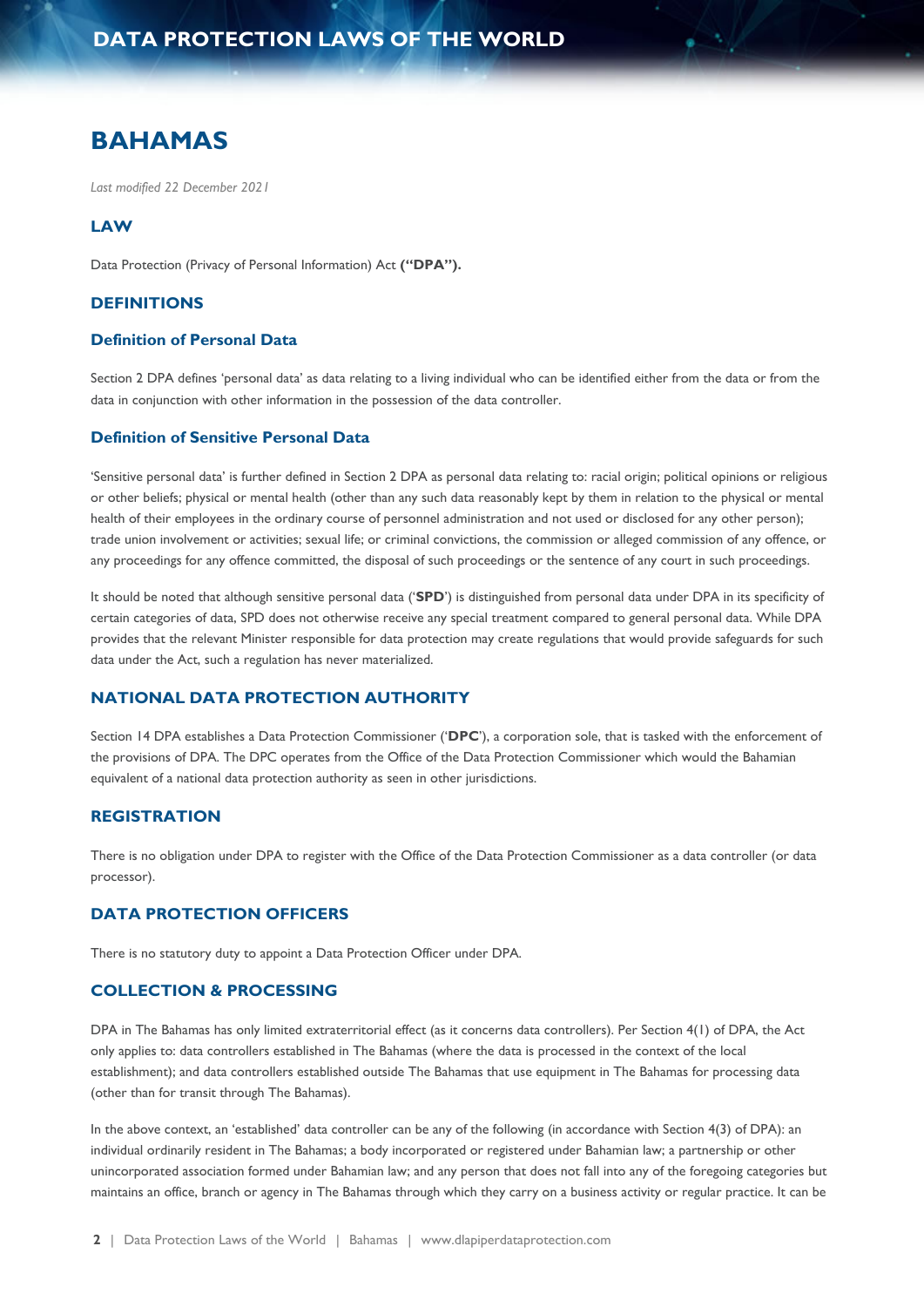# **BAHAMAS**

*Last modified 22 December 2021*

#### **LAW**

Data Protection (Privacy of Personal Information) Act **("DPA").**

#### **DEFINITIONS**

#### **Definition of Personal Data**

Section 2 DPA defines 'personal data' as data relating to a living individual who can be identified either from the data or from the data in conjunction with other information in the possession of the data controller.

## **Definition of Sensitive Personal Data**

'Sensitive personal data' is further defined in Section 2 DPA as personal data relating to: racial origin; political opinions or religious or other beliefs; physical or mental health (other than any such data reasonably kept by them in relation to the physical or mental health of their employees in the ordinary course of personnel administration and not used or disclosed for any other person); trade union involvement or activities; sexual life; or criminal convictions, the commission or alleged commission of any offence, or any proceedings for any offence committed, the disposal of such proceedings or the sentence of any court in such proceedings.

It should be noted that although sensitive personal data ('**SPD**') is distinguished from personal data under DPA in its specificity of certain categories of data, SPD does not otherwise receive any special treatment compared to general personal data. While DPA provides that the relevant Minister responsible for data protection may create regulations that would provide safeguards for such data under the Act, such a regulation has never materialized.

#### **NATIONAL DATA PROTECTION AUTHORITY**

Section 14 DPA establishes a Data Protection Commissioner ('**DPC**'), a corporation sole, that is tasked with the enforcement of the provisions of DPA. The DPC operates from the Office of the Data Protection Commissioner which would the Bahamian equivalent of a national data protection authority as seen in other jurisdictions.

## **REGISTRATION**

There is no obligation under DPA to register with the Office of the Data Protection Commissioner as a data controller (or data processor).

## **DATA PROTECTION OFFICERS**

There is no statutory duty to appoint a Data Protection Officer under DPA.

#### **COLLECTION & PROCESSING**

DPA in The Bahamas has only limited extraterritorial effect (as it concerns data controllers). Per Section 4(1) of DPA, the Act only applies to: data controllers established in The Bahamas (where the data is processed in the context of the local establishment); and data controllers established outside The Bahamas that use equipment in The Bahamas for processing data (other than for transit through The Bahamas).

In the above context, an 'established' data controller can be any of the following (in accordance with Section 4(3) of DPA): an individual ordinarily resident in The Bahamas; a body incorporated or registered under Bahamian law; a partnership or other unincorporated association formed under Bahamian law; and any person that does not fall into any of the foregoing categories but maintains an office, branch or agency in The Bahamas through which they carry on a business activity or regular practice. It can be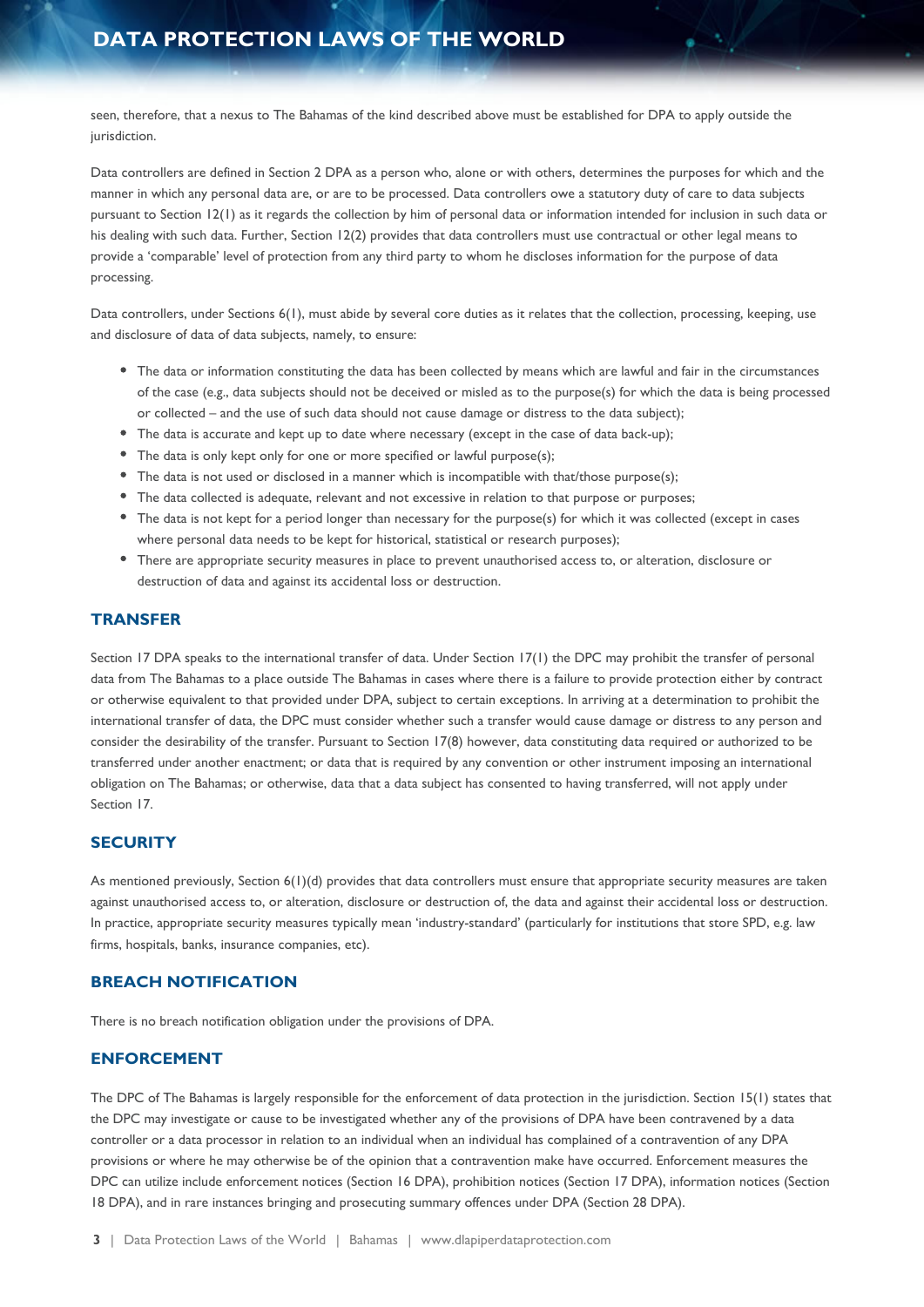# **DATA PROTECTION LAWS OF THE WORLD**

seen, therefore, that a nexus to The Bahamas of the kind described above must be established for DPA to apply outside the jurisdiction.

Data controllers are defined in Section 2 DPA as a person who, alone or with others, determines the purposes for which and the manner in which any personal data are, or are to be processed. Data controllers owe a statutory duty of care to data subjects pursuant to Section 12(1) as it regards the collection by him of personal data or information intended for inclusion in such data or his dealing with such data. Further, Section 12(2) provides that data controllers must use contractual or other legal means to provide a 'comparable' level of protection from any third party to whom he discloses information for the purpose of data processing.

Data controllers, under Sections 6(1), must abide by several core duties as it relates that the collection, processing, keeping, use and disclosure of data of data subjects, namely, to ensure:

- The data or information constituting the data has been collected by means which are lawful and fair in the circumstances of the case (e.g., data subjects should not be deceived or misled as to the purpose(s) for which the data is being processed or collected – and the use of such data should not cause damage or distress to the data subject);
- The data is accurate and kept up to date where necessary (except in the case of data back-up);
- The data is only kept only for one or more specified or lawful purpose(s);
- The data is not used or disclosed in a manner which is incompatible with that/those purpose(s);
- The data collected is adequate, relevant and not excessive in relation to that purpose or purposes;
- The data is not kept for a period longer than necessary for the purpose(s) for which it was collected (except in cases where personal data needs to be kept for historical, statistical or research purposes);
- There are appropriate security measures in place to prevent unauthorised access to, or alteration, disclosure or destruction of data and against its accidental loss or destruction.

#### **TRANSFER**

Section 17 DPA speaks to the international transfer of data. Under Section 17(1) the DPC may prohibit the transfer of personal data from The Bahamas to a place outside The Bahamas in cases where there is a failure to provide protection either by contract or otherwise equivalent to that provided under DPA, subject to certain exceptions. In arriving at a determination to prohibit the international transfer of data, the DPC must consider whether such a transfer would cause damage or distress to any person and consider the desirability of the transfer. Pursuant to Section 17(8) however, data constituting data required or authorized to be transferred under another enactment; or data that is required by any convention or other instrument imposing an international obligation on The Bahamas; or otherwise, data that a data subject has consented to having transferred, will not apply under Section 17.

## **SECURITY**

As mentioned previously, Section 6(1)(d) provides that data controllers must ensure that appropriate security measures are taken against unauthorised access to, or alteration, disclosure or destruction of, the data and against their accidental loss or destruction. In practice, appropriate security measures typically mean 'industry-standard' (particularly for institutions that store SPD, e.g. law firms, hospitals, banks, insurance companies, etc).

## **BREACH NOTIFICATION**

There is no breach notification obligation under the provisions of DPA.

#### **ENFORCEMENT**

The DPC of The Bahamas is largely responsible for the enforcement of data protection in the jurisdiction. Section 15(1) states that the DPC may investigate or cause to be investigated whether any of the provisions of DPA have been contravened by a data controller or a data processor in relation to an individual when an individual has complained of a contravention of any DPA provisions or where he may otherwise be of the opinion that a contravention make have occurred. Enforcement measures the DPC can utilize include enforcement notices (Section 16 DPA), prohibition notices (Section 17 DPA), information notices (Section 18 DPA), and in rare instances bringing and prosecuting summary offences under DPA (Section 28 DPA).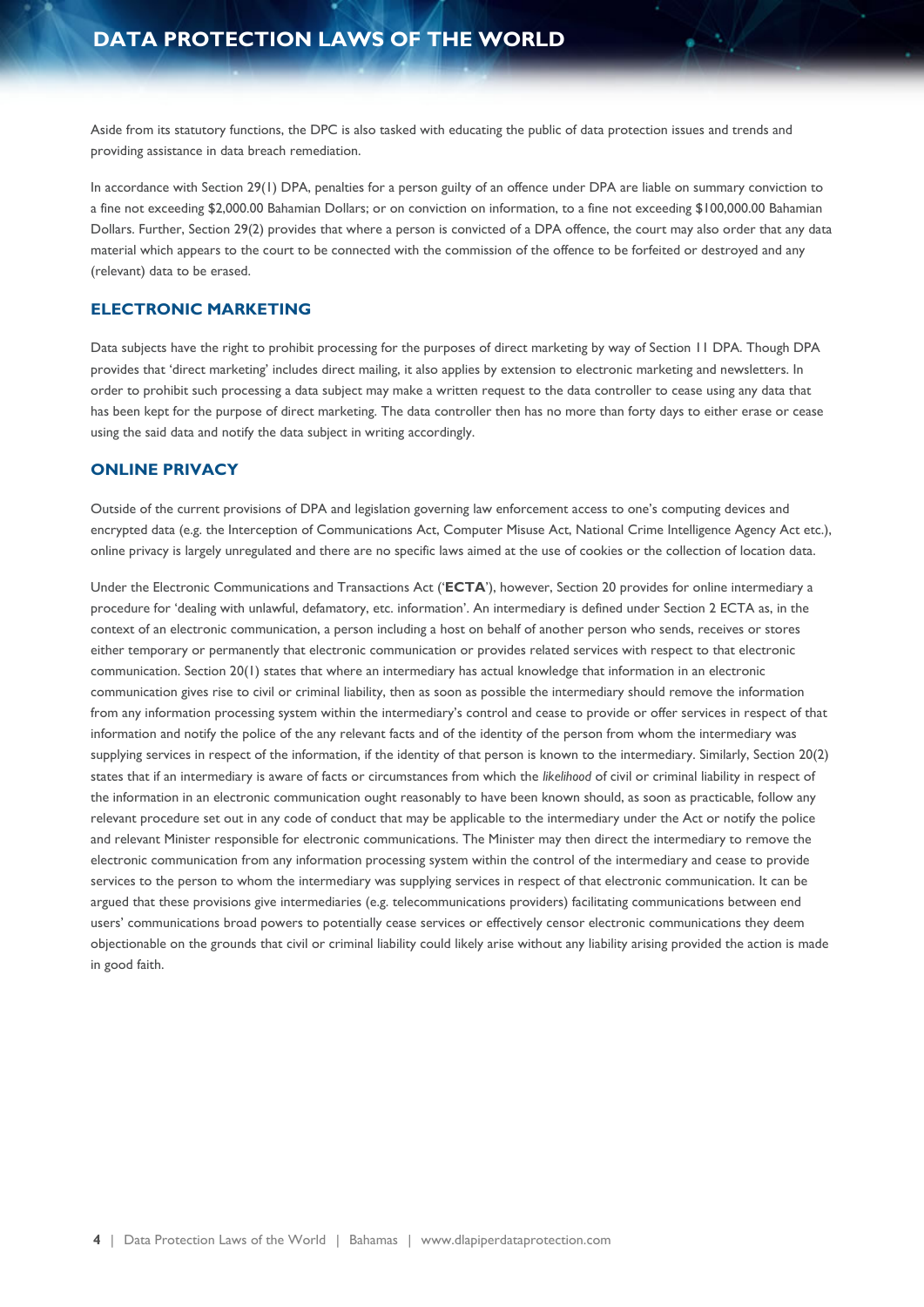Aside from its statutory functions, the DPC is also tasked with educating the public of data protection issues and trends and providing assistance in data breach remediation.

In accordance with Section 29(1) DPA, penalties for a person guilty of an offence under DPA are liable on summary conviction to a fine not exceeding \$2,000.00 Bahamian Dollars; or on conviction on information, to a fine not exceeding \$100,000.00 Bahamian Dollars. Further, Section 29(2) provides that where a person is convicted of a DPA offence, the court may also order that any data material which appears to the court to be connected with the commission of the offence to be forfeited or destroyed and any (relevant) data to be erased.

#### **ELECTRONIC MARKETING**

Data subjects have the right to prohibit processing for the purposes of direct marketing by way of Section 11 DPA. Though DPA provides that 'direct marketing' includes direct mailing, it also applies by extension to electronic marketing and newsletters. In order to prohibit such processing a data subject may make a written request to the data controller to cease using any data that has been kept for the purpose of direct marketing. The data controller then has no more than forty days to either erase or cease using the said data and notify the data subject in writing accordingly.

#### **ONLINE PRIVACY**

Outside of the current provisions of DPA and legislation governing law enforcement access to one's computing devices and encrypted data (e.g. the Interception of Communications Act, Computer Misuse Act, National Crime Intelligence Agency Act etc.), online privacy is largely unregulated and there are no specific laws aimed at the use of cookies or the collection of location data.

Under the Electronic Communications and Transactions Act ('**ECTA**'), however, Section 20 provides for online intermediary a procedure for 'dealing with unlawful, defamatory, etc. information'. An intermediary is defined under Section 2 ECTA as, in the context of an electronic communication, a person including a host on behalf of another person who sends, receives or stores either temporary or permanently that electronic communication or provides related services with respect to that electronic communication. Section 20(1) states that where an intermediary has actual knowledge that information in an electronic communication gives rise to civil or criminal liability, then as soon as possible the intermediary should remove the information from any information processing system within the intermediary's control and cease to provide or offer services in respect of that information and notify the police of the any relevant facts and of the identity of the person from whom the intermediary was supplying services in respect of the information, if the identity of that person is known to the intermediary. Similarly, Section 20(2) states that if an intermediary is aware of facts or circumstances from which the *likelihood* of civil or criminal liability in respect of the information in an electronic communication ought reasonably to have been known should, as soon as practicable, follow any relevant procedure set out in any code of conduct that may be applicable to the intermediary under the Act or notify the police and relevant Minister responsible for electronic communications. The Minister may then direct the intermediary to remove the electronic communication from any information processing system within the control of the intermediary and cease to provide services to the person to whom the intermediary was supplying services in respect of that electronic communication. It can be argued that these provisions give intermediaries (e.g. telecommunications providers) facilitating communications between end users' communications broad powers to potentially cease services or effectively censor electronic communications they deem objectionable on the grounds that civil or criminal liability could likely arise without any liability arising provided the action is made in good faith.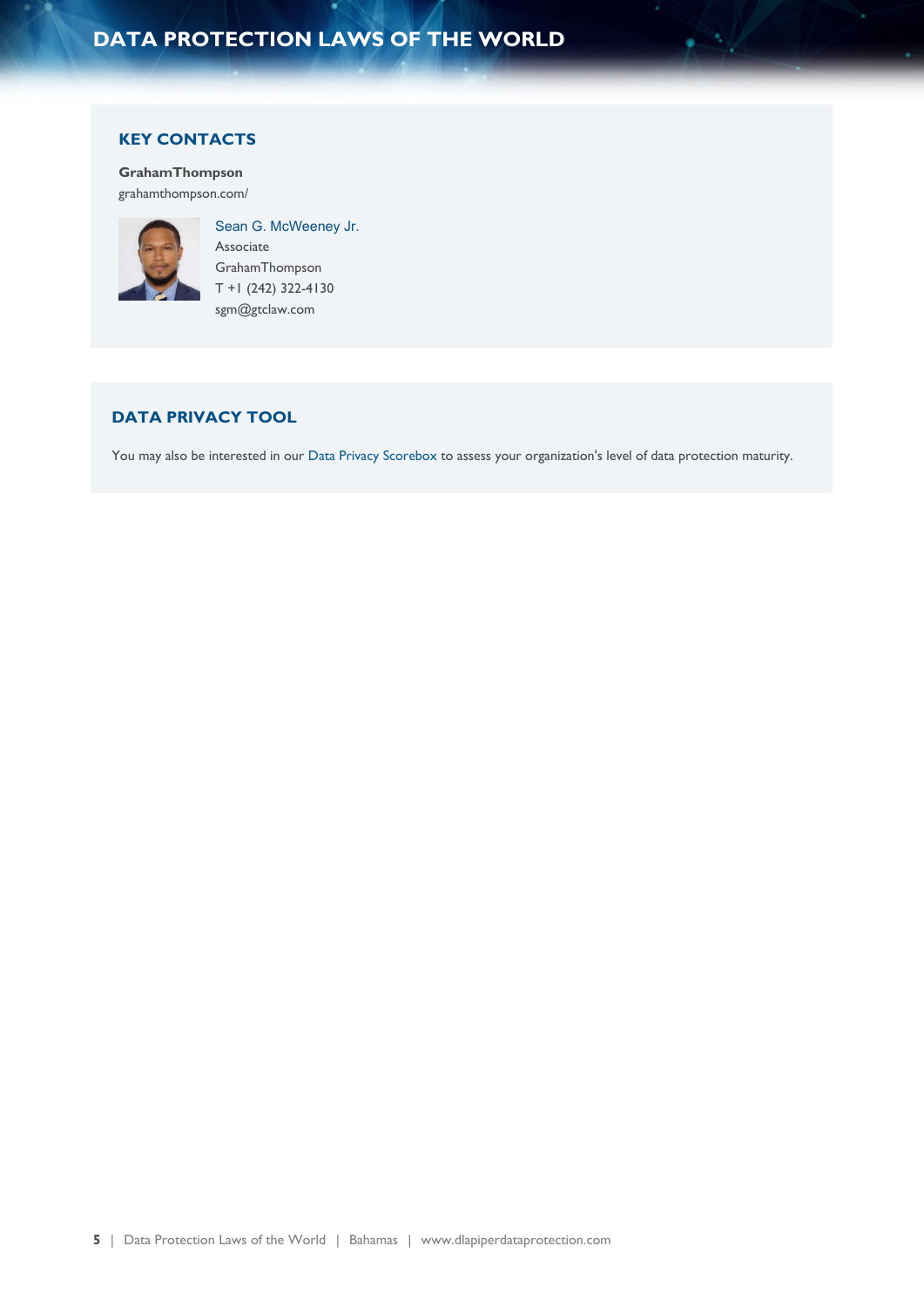# **DATA PROTECTION LAWS OF THE WORLD**

## **KEY CONTACTS**

**GrahamThompson** [grahamthompson.com/](https://grahamthompson.com/)



Sean G. McWeeney Jr. Associate GrahamThompson T +1 (242) 322-4130 sgm@gtclaw.com

# **DATA PRIVACY TOOL**

You may also be interested in our [Data Privacy Scorebox](https://www.dlapiperdataprotection.com/scorebox/) to assess your organization's level of data protection maturity.